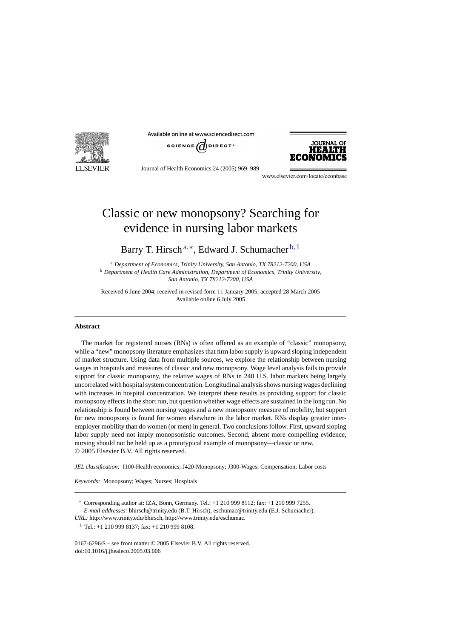

Available online at www.sciencedirect.com





Journal of Health Economics 24 (2005) 969–989

www.elsevier.com/locate/econbase

## Classic or new monopsony? Searching for evidence in nursing labor markets

Barry T. Hirsch<sup>a,∗</sup>, Edward J. Schumacher<sup>b, 1</sup>

<sup>a</sup> *Department of Economics, Trinity University, San Antonio, TX 78212-7200, USA* <sup>b</sup> *Department of Health Care Administration, Department of Economics, Trinity University, San Antonio, TX 78212-7200, USA*

Received 6 June 2004; received in revised form 11 January 2005; accepted 28 March 2005 Available online 6 July 2005

## **Abstract**

The market for registered nurses (RNs) is often offered as an example of "classic" monopsony, while a "new" monopsony literature emphasizes that firm labor supply is upward sloping independent of market structure. Using data from multiple sources, we explore the relationship between nursing wages in hospitals and measures of classic and new monopsony. Wage level analysis fails to provide support for classic monopsony, the relative wages of RNs in 240 U.S. labor markets being largely uncorrelated with hospital system concentration. Longitudinal analysis shows nursing wages declining with increases in hospital concentration. We interpret these results as providing support for classic monopsony effects in the short run, but question whether wage effects are sustained in the long run. No relationship is found between nursing wages and a new monopsony measure of mobility, but support for new monopsony is found for women elsewhere in the labor market. RNs display greater interemployer mobility than do women (or men) in general. Two conclusions follow. First, upward sloping labor supply need not imply monopsonistic outcomes. Second, absent more compelling evidence, nursing should not be held up as a prototypical example of monopsony—classic or new. © 2005 Elsevier B.V. All rights reserved.

*JEL classification:* I100-Health economics; J420-Monopsony; J300-Wages; Compensation; Labor costs

*Keywords:* Monopsony; Wages; Nurses; Hospitals

∗ Corresponding author at: IZA, Bonn, Germany. Tel.: +1 210 999 8112; fax: +1 210 999 7255. *E-mail addresses:* bhirsch@trinity.edu (B.T. Hirsch), eschumac@trinity.edu (E.J. Schumacher).

*URL:* http://www.trinity.edu/bhirsch, http://www.trinity.edu/eschumac.

<sup>1</sup> Tel.: +1 210 999 8137; fax: +1 210 999 8108.

0167-6296/\$ – see front matter © 2005 Elsevier B.V. All rights reserved. doi:10.1016/j.jhealeco.2005.03.006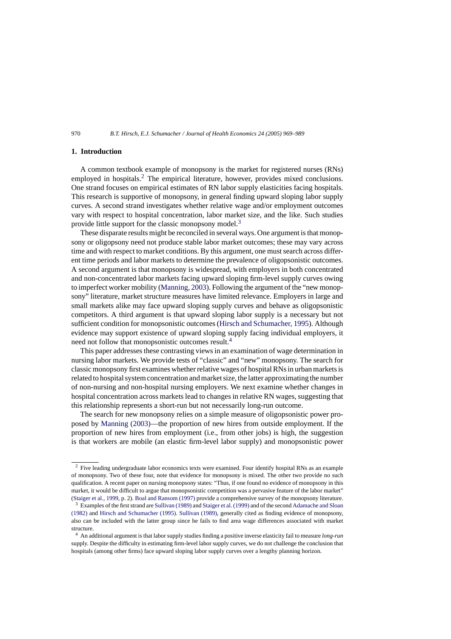## **1. Introduction**

A common textbook example of monopsony is the market for registered nurses (RNs) employed in hospitals.<sup>2</sup> The empirical literature, however, provides mixed conclusions. One strand focuses on empirical estimates of RN labor supply elasticities facing hospitals. This research is supportive of monopsony, in general finding upward sloping labor supply curves. A second strand investigates whether relative wage and/or employment outcomes vary with respect to hospital concentration, labor market size, and the like. Such studies provide little support for the classic monopsony model.<sup>3</sup>

These disparate results might be reconciled in several ways. One argument is that monopsony or oligopsony need not produce stable labor market outcomes; these may vary across time and with respect to market conditions. By this argument, one must search across different time periods and labor markets to determine the prevalence of oligopsonistic outcomes. A second argument is that monopsony is widespread, with employers in both concentrated and non-concentrated labor markets facing upward sloping firm-level supply curves owing to imperfect worker mobility [\(Manning, 2003\).](#page--1-0) Following the argument of the "new monopsony" literature, market structure measures have limited relevance. Employers in large and small markets alike may face upward sloping supply curves and behave as oligopsonistic competitors. A third argument is that upward sloping labor supply is a necessary but not sufficient condition for monopsonistic outcomes [\(Hirsch and Schumacher, 1995\).](#page--1-0) Although evidence may support existence of upward sloping supply facing individual employers, it need not follow that monopsonistic outcomes result.<sup>4</sup>

This paper addresses these contrasting views in an examination of wage determination in nursing labor markets. We provide tests of "classic" and "new" monopsony. The search for classic monopsony first examines whether relative wages of hospital RNs in urban markets is related to hospital system concentration and market size, the latter approximating the number of non-nursing and non-hospital nursing employers. We next examine whether changes in hospital concentration across markets lead to changes in relative RN wages, suggesting that this relationship represents a short-run but not necessarily long-run outcome.

The search for new monopsony relies on a simple measure of oligopsonistic power proposed by [Manning \(2003\)—](#page--1-0)the proportion of new hires from outside employment. If the proportion of new hires from employment (i.e., from other jobs) is high, the suggestion is that workers are mobile (an elastic firm-level labor supply) and monopsonistic power

<sup>&</sup>lt;sup>2</sup> Five leading undergraduate labor economics texts were examined. Four identify hospital RNs as an example of monopsony. Two of these four, note that evidence for monopsony is mixed. The other two provide no such qualification. A recent paper on nursing monopsony states: "Thus, if one found no evidence of monopsony in this market, it would be difficult to argue that monopsonistic competition was a pervasive feature of the labor market" ([Staiger et al., 1999, p](#page--1-0). 2). [Boal and Ransom \(1997\)](#page--1-0) provide a comprehensive survey of the monopsony literature.

<sup>3</sup> Examples of the first strand are [Sullivan \(1989\)](#page--1-0) and [Staiger et al. \(1999\)](#page--1-0) and of the second [Adamache and Sloan](#page--1-0) [\(1982\)](#page--1-0) and [Hirsch and Schumacher \(1995\).](#page--1-0) [Sullivan \(1989\), g](#page--1-0)enerally cited as finding evidence of monopsony, also can be included with the latter group since he fails to find area wage differences associated with market structure.

<sup>4</sup> An additional argument is that labor supply studies finding a positive inverse elasticity fail to measure *long-run* supply. Despite the difficulty in estimating firm-level labor supply curves, we do not challenge the conclusion that hospitals (among other firms) face upward sloping labor supply curves over a lengthy planning horizon.